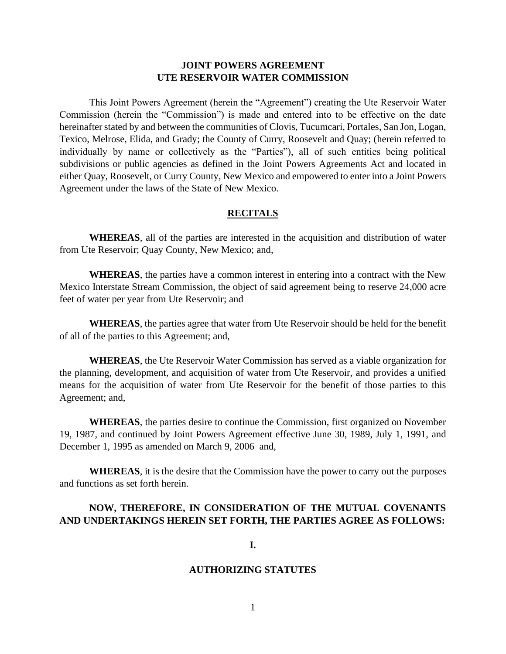# **JOINT POWERS AGREEMENT UTE RESERVOIR WATER COMMISSION**

This Joint Powers Agreement (herein the "Agreement") creating the Ute Reservoir Water Commission (herein the "Commission") is made and entered into to be effective on the date hereinafter stated by and between the communities of Clovis, Tucumcari, Portales, San Jon, Logan, Texico, Melrose, Elida, and Grady; the County of Curry, Roosevelt and Quay; (herein referred to individually by name or collectively as the "Parties"), all of such entities being political subdivisions or public agencies as defined in the Joint Powers Agreements Act and located in either Quay, Roosevelt, or Curry County, New Mexico and empowered to enter into a Joint Powers Agreement under the laws of the State of New Mexico.

### **RECITALS**

**WHEREAS**, all of the parties are interested in the acquisition and distribution of water from Ute Reservoir; Quay County, New Mexico; and,

**WHEREAS**, the parties have a common interest in entering into a contract with the New Mexico Interstate Stream Commission, the object of said agreement being to reserve 24,000 acre feet of water per year from Ute Reservoir; and

**WHEREAS**, the parties agree that water from Ute Reservoir should be held for the benefit of all of the parties to this Agreement; and,

**WHEREAS**, the Ute Reservoir Water Commission has served as a viable organization for the planning, development, and acquisition of water from Ute Reservoir, and provides a unified means for the acquisition of water from Ute Reservoir for the benefit of those parties to this Agreement; and,

**WHEREAS**, the parties desire to continue the Commission, first organized on November 19, 1987, and continued by Joint Powers Agreement effective June 30, 1989, July 1, 1991, and December 1, 1995 as amended on March 9, 2006 and,

**WHEREAS**, it is the desire that the Commission have the power to carry out the purposes and functions as set forth herein.

# **NOW, THEREFORE, IN CONSIDERATION OF THE MUTUAL COVENANTS AND UNDERTAKINGS HEREIN SET FORTH, THE PARTIES AGREE AS FOLLOWS:**

### **I.**

#### **AUTHORIZING STATUTES**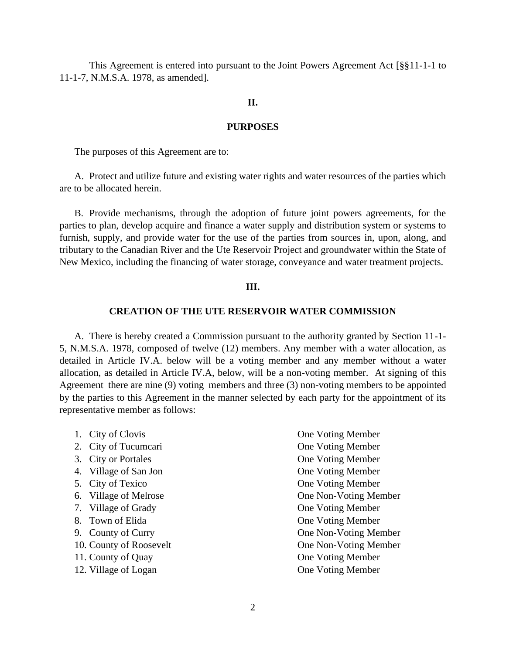This Agreement is entered into pursuant to the Joint Powers Agreement Act [§§11-1-1 to 11-1-7, N.M.S.A. 1978, as amended].

### **II.**

### **PURPOSES**

The purposes of this Agreement are to:

A. Protect and utilize future and existing water rights and water resources of the parties which are to be allocated herein.

B. Provide mechanisms, through the adoption of future joint powers agreements, for the parties to plan, develop acquire and finance a water supply and distribution system or systems to furnish, supply, and provide water for the use of the parties from sources in, upon, along, and tributary to the Canadian River and the Ute Reservoir Project and groundwater within the State of New Mexico, including the financing of water storage, conveyance and water treatment projects.

### **III.**

#### **CREATION OF THE UTE RESERVOIR WATER COMMISSION**

A. There is hereby created a Commission pursuant to the authority granted by Section 11-1- 5, N.M.S.A. 1978, composed of twelve (12) members. Any member with a water allocation, as detailed in Article IV.A. below will be a voting member and any member without a water allocation, as detailed in Article IV.A, below, will be a non-voting member. At signing of this Agreement there are nine (9) voting members and three (3) non-voting members to be appointed by the parties to this Agreement in the manner selected by each party for the appointment of its representative member as follows:

| 1. City of Clovis       | One Voting Member     |
|-------------------------|-----------------------|
| 2. City of Tucumcari    | One Voting Member     |
| 3. City or Portales     | One Voting Member     |
| 4. Village of San Jon   | One Voting Member     |
| 5. City of Texico       | One Voting Member     |
| 6. Village of Melrose   | One Non-Voting Member |
| 7. Village of Grady     | One Voting Member     |
| 8. Town of Elida        | One Voting Member     |
| 9. County of Curry      | One Non-Voting Member |
| 10. County of Roosevelt | One Non-Voting Member |
| 11. County of Quay      | One Voting Member     |
| 12. Village of Logan    | One Voting Member     |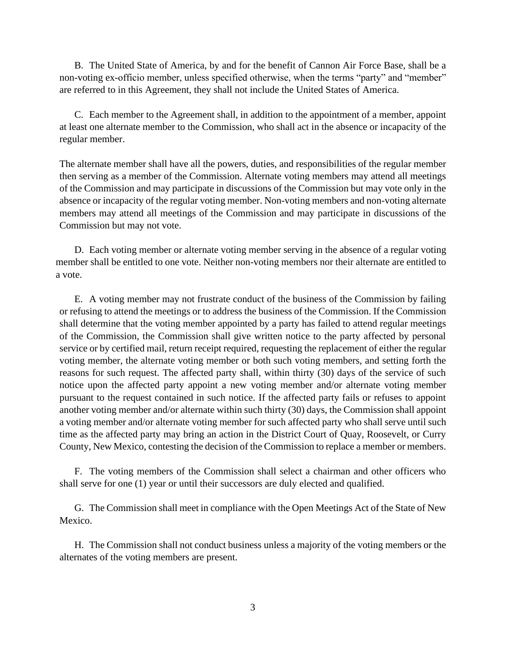B. The United State of America, by and for the benefit of Cannon Air Force Base, shall be a non-voting ex-officio member, unless specified otherwise, when the terms "party" and "member" are referred to in this Agreement, they shall not include the United States of America.

C. Each member to the Agreement shall, in addition to the appointment of a member, appoint at least one alternate member to the Commission, who shall act in the absence or incapacity of the regular member.

The alternate member shall have all the powers, duties, and responsibilities of the regular member then serving as a member of the Commission. Alternate voting members may attend all meetings of the Commission and may participate in discussions of the Commission but may vote only in the absence or incapacity of the regular voting member. Non-voting members and non-voting alternate members may attend all meetings of the Commission and may participate in discussions of the Commission but may not vote.

D. Each voting member or alternate voting member serving in the absence of a regular voting member shall be entitled to one vote. Neither non-voting members nor their alternate are entitled to a vote.

E. A voting member may not frustrate conduct of the business of the Commission by failing or refusing to attend the meetings or to address the business of the Commission. If the Commission shall determine that the voting member appointed by a party has failed to attend regular meetings of the Commission, the Commission shall give written notice to the party affected by personal service or by certified mail, return receipt required, requesting the replacement of either the regular voting member, the alternate voting member or both such voting members, and setting forth the reasons for such request. The affected party shall, within thirty (30) days of the service of such notice upon the affected party appoint a new voting member and/or alternate voting member pursuant to the request contained in such notice. If the affected party fails or refuses to appoint another voting member and/or alternate within such thirty (30) days, the Commission shall appoint a voting member and/or alternate voting member for such affected party who shall serve until such time as the affected party may bring an action in the District Court of Quay, Roosevelt, or Curry County, New Mexico, contesting the decision of the Commission to replace a member or members.

F. The voting members of the Commission shall select a chairman and other officers who shall serve for one (1) year or until their successors are duly elected and qualified.

G. The Commission shall meet in compliance with the Open Meetings Act of the State of New Mexico.

H. The Commission shall not conduct business unless a majority of the voting members or the alternates of the voting members are present.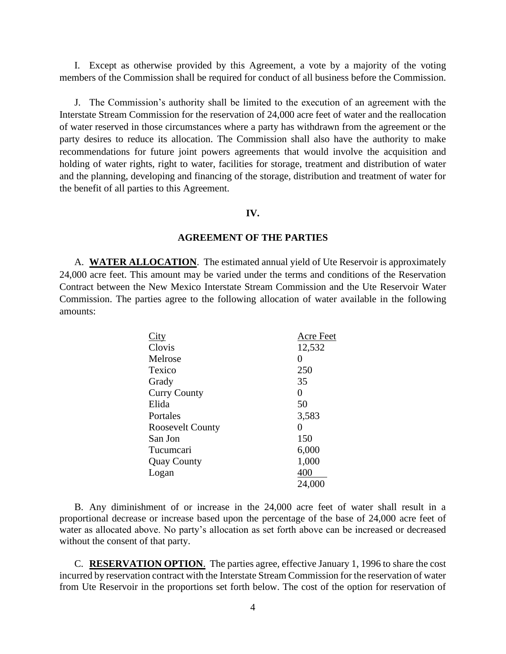I. Except as otherwise provided by this Agreement, a vote by a majority of the voting members of the Commission shall be required for conduct of all business before the Commission.

J. The Commission's authority shall be limited to the execution of an agreement with the Interstate Stream Commission for the reservation of 24,000 acre feet of water and the reallocation of water reserved in those circumstances where a party has withdrawn from the agreement or the party desires to reduce its allocation. The Commission shall also have the authority to make recommendations for future joint powers agreements that would involve the acquisition and holding of water rights, right to water, facilities for storage, treatment and distribution of water and the planning, developing and financing of the storage, distribution and treatment of water for the benefit of all parties to this Agreement.

### **IV.**

### **AGREEMENT OF THE PARTIES**

A. **WATER ALLOCATION**. The estimated annual yield of Ute Reservoir is approximately 24,000 acre feet. This amount may be varied under the terms and conditions of the Reservation Contract between the New Mexico Interstate Stream Commission and the Ute Reservoir Water Commission. The parties agree to the following allocation of water available in the following amounts:

| City                    | Acre Feet |
|-------------------------|-----------|
| Clovis                  | 12,532    |
| Melrose                 | 0         |
| Texico                  | 250       |
| Grady                   | 35        |
| <b>Curry County</b>     | 0         |
| Elida                   | 50        |
| Portales                | 3,583     |
| <b>Roosevelt County</b> | 0         |
| San Jon                 | 150       |
| Tucumcari               | 6,000     |
| <b>Quay County</b>      | 1,000     |
| Logan                   | 400       |
|                         | 24,000    |

B. Any diminishment of or increase in the 24,000 acre feet of water shall result in a proportional decrease or increase based upon the percentage of the base of 24,000 acre feet of water as allocated above. No party's allocation as set forth above can be increased or decreased without the consent of that party.

C. **RESERVATION OPTION**. The parties agree, effective January 1, 1996 to share the cost incurred by reservation contract with the Interstate Stream Commission for the reservation of water from Ute Reservoir in the proportions set forth below. The cost of the option for reservation of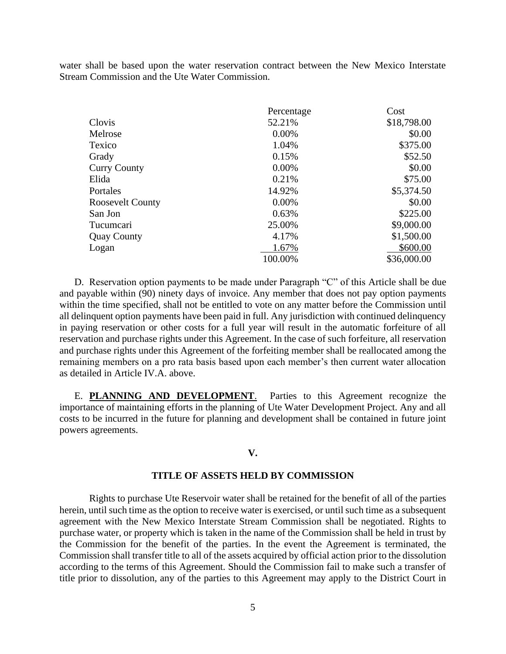water shall be based upon the water reservation contract between the New Mexico Interstate Stream Commission and the Ute Water Commission.

|                         | Percentage | Cost        |
|-------------------------|------------|-------------|
| Clovis                  | 52.21%     | \$18,798.00 |
| Melrose                 | 0.00%      | \$0.00      |
| Texico                  | 1.04%      | \$375.00    |
| Grady                   | 0.15%      | \$52.50     |
| <b>Curry County</b>     | 0.00%      | \$0.00      |
| Elida                   | 0.21%      | \$75.00     |
| Portales                | 14.92%     | \$5,374.50  |
| <b>Roosevelt County</b> | 0.00%      | \$0.00      |
| San Jon                 | 0.63%      | \$225.00    |
| Tucumcari               | 25.00%     | \$9,000.00  |
| <b>Quay County</b>      | 4.17%      | \$1,500.00  |
| Logan                   | 1.67%      | \$600.00    |
|                         | 100.00%    | \$36,000.00 |

D. Reservation option payments to be made under Paragraph "C" of this Article shall be due and payable within (90) ninety days of invoice. Any member that does not pay option payments within the time specified, shall not be entitled to vote on any matter before the Commission until all delinquent option payments have been paid in full. Any jurisdiction with continued delinquency in paying reservation or other costs for a full year will result in the automatic forfeiture of all reservation and purchase rights under this Agreement. In the case of such forfeiture, all reservation and purchase rights under this Agreement of the forfeiting member shall be reallocated among the remaining members on a pro rata basis based upon each member's then current water allocation as detailed in Article IV.A. above.

E. **PLANNING AND DEVELOPMENT**. Parties to this Agreement recognize the importance of maintaining efforts in the planning of Ute Water Development Project. Any and all costs to be incurred in the future for planning and development shall be contained in future joint powers agreements.

### **V.**

#### **TITLE OF ASSETS HELD BY COMMISSION**

Rights to purchase Ute Reservoir water shall be retained for the benefit of all of the parties herein, until such time as the option to receive water is exercised, or until such time as a subsequent agreement with the New Mexico Interstate Stream Commission shall be negotiated. Rights to purchase water, or property which is taken in the name of the Commission shall be held in trust by the Commission for the benefit of the parties. In the event the Agreement is terminated, the Commission shall transfer title to all of the assets acquired by official action prior to the dissolution according to the terms of this Agreement. Should the Commission fail to make such a transfer of title prior to dissolution, any of the parties to this Agreement may apply to the District Court in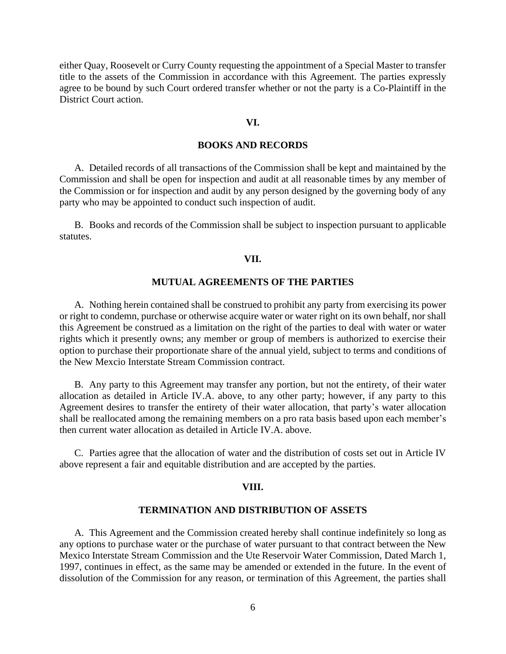either Quay, Roosevelt or Curry County requesting the appointment of a Special Master to transfer title to the assets of the Commission in accordance with this Agreement. The parties expressly agree to be bound by such Court ordered transfer whether or not the party is a Co-Plaintiff in the District Court action.

#### **VI.**

## **BOOKS AND RECORDS**

A. Detailed records of all transactions of the Commission shall be kept and maintained by the Commission and shall be open for inspection and audit at all reasonable times by any member of the Commission or for inspection and audit by any person designed by the governing body of any party who may be appointed to conduct such inspection of audit.

B. Books and records of the Commission shall be subject to inspection pursuant to applicable statutes.

### **VII.**

### **MUTUAL AGREEMENTS OF THE PARTIES**

A. Nothing herein contained shall be construed to prohibit any party from exercising its power or right to condemn, purchase or otherwise acquire water or water right on its own behalf, nor shall this Agreement be construed as a limitation on the right of the parties to deal with water or water rights which it presently owns; any member or group of members is authorized to exercise their option to purchase their proportionate share of the annual yield, subject to terms and conditions of the New Mexcio Interstate Stream Commission contract.

B. Any party to this Agreement may transfer any portion, but not the entirety, of their water allocation as detailed in Article IV.A. above, to any other party; however, if any party to this Agreement desires to transfer the entirety of their water allocation, that party's water allocation shall be reallocated among the remaining members on a pro rata basis based upon each member's then current water allocation as detailed in Article IV.A. above.

C. Parties agree that the allocation of water and the distribution of costs set out in Article IV above represent a fair and equitable distribution and are accepted by the parties.

#### **VIII.**

## **TERMINATION AND DISTRIBUTION OF ASSETS**

A. This Agreement and the Commission created hereby shall continue indefinitely so long as any options to purchase water or the purchase of water pursuant to that contract between the New Mexico Interstate Stream Commission and the Ute Reservoir Water Commission, Dated March 1, 1997, continues in effect, as the same may be amended or extended in the future. In the event of dissolution of the Commission for any reason, or termination of this Agreement, the parties shall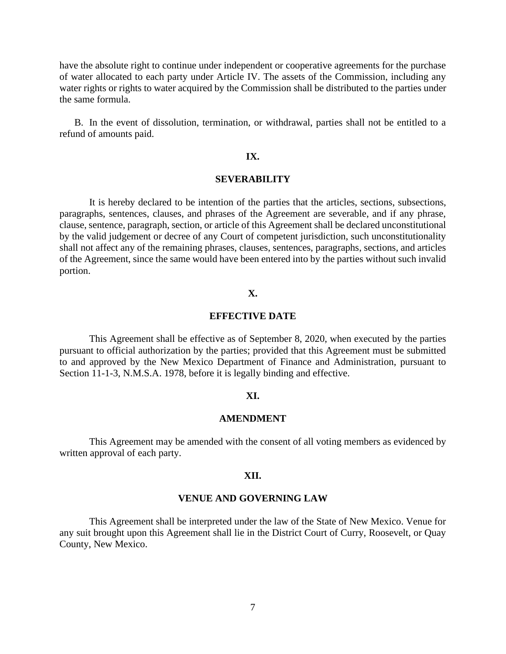have the absolute right to continue under independent or cooperative agreements for the purchase of water allocated to each party under Article IV. The assets of the Commission, including any water rights or rights to water acquired by the Commission shall be distributed to the parties under the same formula.

B. In the event of dissolution, termination, or withdrawal, parties shall not be entitled to a refund of amounts paid.

# **IX.**

### **SEVERABILITY**

It is hereby declared to be intention of the parties that the articles, sections, subsections, paragraphs, sentences, clauses, and phrases of the Agreement are severable, and if any phrase, clause, sentence, paragraph, section, or article of this Agreement shall be declared unconstitutional by the valid judgement or decree of any Court of competent jurisdiction, such unconstitutionality shall not affect any of the remaining phrases, clauses, sentences, paragraphs, sections, and articles of the Agreement, since the same would have been entered into by the parties without such invalid portion.

#### **X.**

### **EFFECTIVE DATE**

This Agreement shall be effective as of September 8, 2020, when executed by the parties pursuant to official authorization by the parties; provided that this Agreement must be submitted to and approved by the New Mexico Department of Finance and Administration, pursuant to Section 11-1-3, N.M.S.A. 1978, before it is legally binding and effective.

#### **XI.**

## **AMENDMENT**

This Agreement may be amended with the consent of all voting members as evidenced by written approval of each party.

#### **XII.**

#### **VENUE AND GOVERNING LAW**

This Agreement shall be interpreted under the law of the State of New Mexico. Venue for any suit brought upon this Agreement shall lie in the District Court of Curry, Roosevelt, or Quay County, New Mexico.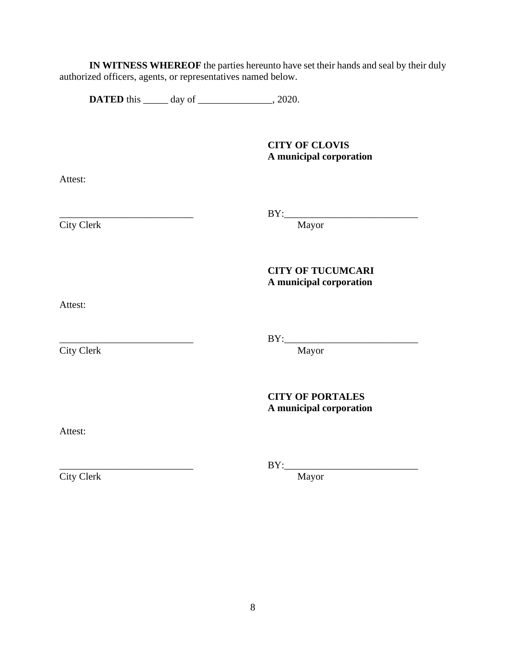**IN WITNESS WHEREOF** the parties hereunto have set their hands and seal by their duly authorized officers, agents, or representatives named below.

**DATED** this \_\_\_\_\_\_ day of \_\_\_\_\_\_\_\_\_\_\_\_\_, 2020.

**CITY OF CLOVIS A municipal corporation**

Attest:

City Clerk

\_\_\_\_\_\_\_\_\_\_\_\_\_\_\_\_\_\_\_\_\_\_\_\_\_\_\_ BY:\_\_\_\_\_\_\_\_\_\_\_\_\_\_\_\_\_\_\_\_\_\_\_\_\_\_\_

**CITY OF TUCUMCARI A municipal corporation**

Attest:

 $\overline{\text{City Clearly}}$ 

\_\_\_\_\_\_\_\_\_\_\_\_\_\_\_\_\_\_\_\_\_\_\_\_\_\_\_ BY:\_\_\_\_\_\_\_\_\_\_\_\_\_\_\_\_\_\_\_\_\_\_\_\_\_\_\_

**CITY OF PORTALES A municipal corporation**

Attest:

City Clerk Mayor

\_\_\_\_\_\_\_\_\_\_\_\_\_\_\_\_\_\_\_\_\_\_\_\_\_\_\_ BY:\_\_\_\_\_\_\_\_\_\_\_\_\_\_\_\_\_\_\_\_\_\_\_\_\_\_\_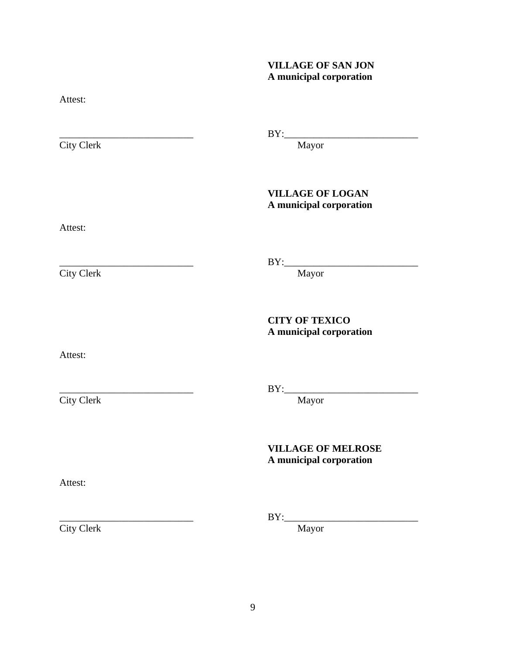# **VILLAGE OF SAN JON A municipal corporation**

Attest:

City Clerk Mayor

\_\_\_\_\_\_\_\_\_\_\_\_\_\_\_\_\_\_\_\_\_\_\_\_\_\_\_ BY:\_\_\_\_\_\_\_\_\_\_\_\_\_\_\_\_\_\_\_\_\_\_\_\_\_\_\_

# **VILLAGE OF LOGAN A municipal corporation**

Attest:

City Clerk

\_\_\_\_\_\_\_\_\_\_\_\_\_\_\_\_\_\_\_\_\_\_\_\_\_\_\_ BY:\_\_\_\_\_\_\_\_\_\_\_\_\_\_\_\_\_\_\_\_\_\_\_\_\_\_\_

**CITY OF TEXICO A municipal corporation**

Attest:

City Clerk Mayor

\_\_\_\_\_\_\_\_\_\_\_\_\_\_\_\_\_\_\_\_\_\_\_\_\_\_\_ BY:\_\_\_\_\_\_\_\_\_\_\_\_\_\_\_\_\_\_\_\_\_\_\_\_\_\_\_

# **VILLAGE OF MELROSE A municipal corporation**

Attest:

\_\_\_\_\_\_\_\_\_\_\_\_\_\_\_\_\_\_\_\_\_\_\_\_\_\_\_ BY:\_\_\_\_\_\_\_\_\_\_\_\_\_\_\_\_\_\_\_\_\_\_\_\_\_\_\_

City Clerk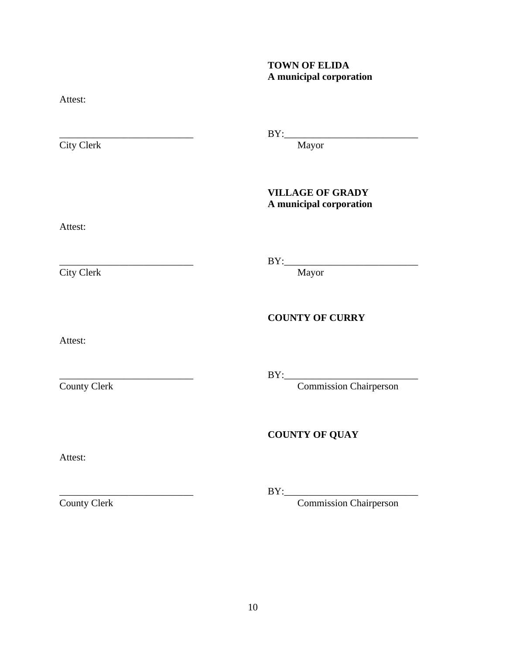# **TOWN OF ELIDA A municipal corporation**

Attest:

City Clerk

\_\_\_\_\_\_\_\_\_\_\_\_\_\_\_\_\_\_\_\_\_\_\_\_\_\_\_ BY:\_\_\_\_\_\_\_\_\_\_\_\_\_\_\_\_\_\_\_\_\_\_\_\_\_\_\_

# **VILLAGE OF GRADY A municipal corporation**

Attest:

City Clerk Mayor

\_\_\_\_\_\_\_\_\_\_\_\_\_\_\_\_\_\_\_\_\_\_\_\_\_\_\_ BY:\_\_\_\_\_\_\_\_\_\_\_\_\_\_\_\_\_\_\_\_\_\_\_\_\_\_\_

**COUNTY OF CURRY**

Attest:

\_\_\_\_\_\_\_\_\_\_\_\_\_\_\_\_\_\_\_\_\_\_\_\_\_\_\_ BY:\_\_\_\_\_\_\_\_\_\_\_\_\_\_\_\_\_\_\_\_\_\_\_\_\_\_\_

County Clerk Commission Chairperson

# **COUNTY OF QUAY**

Attest:

\_\_\_\_\_\_\_\_\_\_\_\_\_\_\_\_\_\_\_\_\_\_\_\_\_\_\_ BY:\_\_\_\_\_\_\_\_\_\_\_\_\_\_\_\_\_\_\_\_\_\_\_\_\_\_\_

County Clerk Commission Chairperson